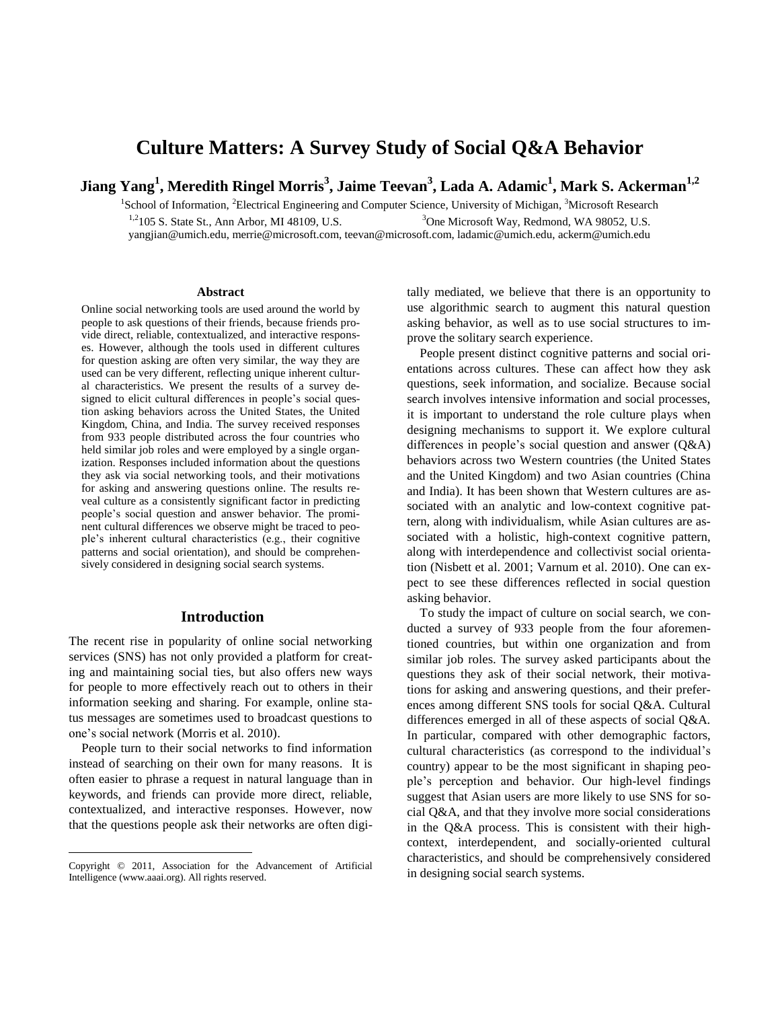# **Culture Matters: A Survey Study of Social Q&A Behavior**

**Jiang Yang<sup>1</sup> , Meredith Ringel Morris<sup>3</sup> , Jaime Teevan<sup>3</sup> , Lada A. Adamic<sup>1</sup> , Mark S. Ackerman1,2**

<sup>1</sup>School of Information, <sup>2</sup>Electrical Engineering and Computer Science, University of Michigan, <sup>3</sup>Microsoft Research <sup>1,2</sup>105 S. State St., Ann Arbor, MI 48109, U.S. <sup>3</sup>One Microsoft Way, Redmond, WA 98052, U.S. yangjian@umich.edu, merrie@microsoft.com, teevan@microsoft.com, ladamic@umich.edu, ackerm@umich.edu

#### **Abstract**

Online social networking tools are used around the world by people to ask questions of their friends, because friends provide direct, reliable, contextualized, and interactive responses. However, although the tools used in different cultures for question asking are often very similar, the way they are used can be very different, reflecting unique inherent cultural characteristics. We present the results of a survey designed to elicit cultural differences in people's social question asking behaviors across the United States, the United Kingdom, China, and India. The survey received responses from 933 people distributed across the four countries who held similar job roles and were employed by a single organization. Responses included information about the questions they ask via social networking tools, and their motivations for asking and answering questions online. The results reveal culture as a consistently significant factor in predicting people's social question and answer behavior. The prominent cultural differences we observe might be traced to people's inherent cultural characteristics (e.g., their cognitive patterns and social orientation), and should be comprehensively considered in designing social search systems.

# **Introduction**

The recent rise in popularity of online social networking services (SNS) has not only provided a platform for creating and maintaining social ties, but also offers new ways for people to more effectively reach out to others in their information seeking and sharing. For example, online status messages are sometimes used to broadcast questions to one's social network (Morris et al. 2010).

People turn to their social networks to find information instead of searching on their own for many reasons. It is often easier to phrase a request in natural language than in keywords, and friends can provide more direct, reliable, contextualized, and interactive responses. However, now that the questions people ask their networks are often digi-

 $\overline{a}$ 

tally mediated, we believe that there is an opportunity to use algorithmic search to augment this natural question asking behavior, as well as to use social structures to improve the solitary search experience.

People present distinct cognitive patterns and social orientations across cultures. These can affect how they ask questions, seek information, and socialize. Because social search involves intensive information and social processes, it is important to understand the role culture plays when designing mechanisms to support it. We explore cultural differences in people's social question and answer (Q&A) behaviors across two Western countries (the United States and the United Kingdom) and two Asian countries (China and India). It has been shown that Western cultures are associated with an analytic and low-context cognitive pattern, along with individualism, while Asian cultures are associated with a holistic, high-context cognitive pattern, along with interdependence and collectivist social orientation (Nisbett et al. 2001; Varnum et al. 2010). One can expect to see these differences reflected in social question asking behavior.

To study the impact of culture on social search, we conducted a survey of 933 people from the four aforementioned countries, but within one organization and from similar job roles. The survey asked participants about the questions they ask of their social network, their motivations for asking and answering questions, and their preferences among different SNS tools for social Q&A. Cultural differences emerged in all of these aspects of social Q&A. In particular, compared with other demographic factors, cultural characteristics (as correspond to the individual's country) appear to be the most significant in shaping people's perception and behavior. Our high-level findings suggest that Asian users are more likely to use SNS for social Q&A, and that they involve more social considerations in the Q&A process. This is consistent with their highcontext, interdependent, and socially-oriented cultural characteristics, and should be comprehensively considered in designing social search systems.

Copyright © 2011, Association for the Advancement of Artificial Intelligence (www.aaai.org). All rights reserved.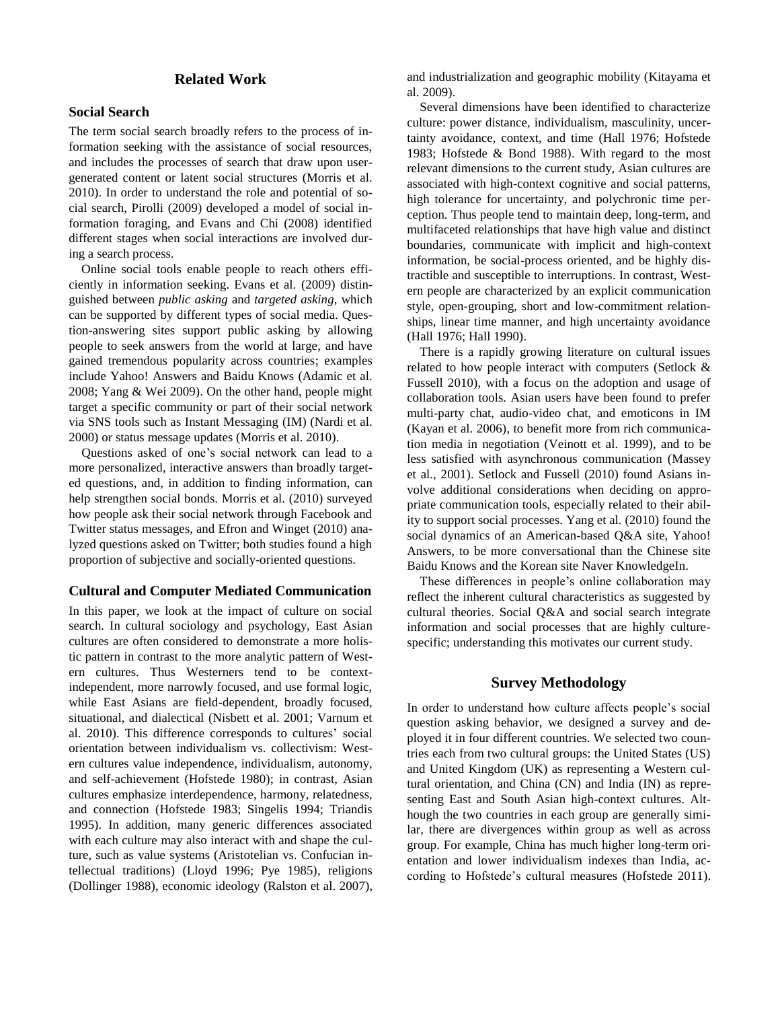# **Related Work**

## **Social Search**

The term social search broadly refers to the process of information seeking with the assistance of social resources, and includes the processes of search that draw upon usergenerated content or latent social structures (Morris et al. 2010). In order to understand the role and potential of social search, Pirolli (2009) developed a model of social information foraging, and Evans and Chi (2008) identified different stages when social interactions are involved during a search process.

Online social tools enable people to reach others efficiently in information seeking. Evans et al. (2009) distinguished between *public asking* and *targeted asking*, which can be supported by different types of social media. Question-answering sites support public asking by allowing people to seek answers from the world at large, and have gained tremendous popularity across countries; examples include Yahoo! Answers and Baidu Knows (Adamic et al. 2008; Yang & Wei 2009). On the other hand, people might target a specific community or part of their social network via SNS tools such as Instant Messaging (IM) (Nardi et al. 2000) or status message updates (Morris et al. 2010).

Questions asked of one's social network can lead to a more personalized, interactive answers than broadly targeted questions, and, in addition to finding information, can help strengthen social bonds. Morris et al. (2010) surveyed how people ask their social network through Facebook and Twitter status messages, and Efron and Winget (2010) analyzed questions asked on Twitter; both studies found a high proportion of subjective and socially-oriented questions.

#### **Cultural and Computer Mediated Communication**

In this paper, we look at the impact of culture on social search. In cultural sociology and psychology, East Asian cultures are often considered to demonstrate a more holistic pattern in contrast to the more analytic pattern of Western cultures. Thus Westerners tend to be contextindependent, more narrowly focused, and use formal logic, while East Asians are field-dependent, broadly focused, situational, and dialectical (Nisbett et al. 2001; Varnum et al. 2010). This difference corresponds to cultures' social orientation between individualism vs. collectivism: Western cultures value independence, individualism, autonomy, and self-achievement (Hofstede 1980); in contrast, Asian cultures emphasize interdependence, harmony, relatedness, and connection (Hofstede 1983; Singelis 1994; Triandis 1995). In addition, many generic differences associated with each culture may also interact with and shape the culture, such as value systems (Aristotelian vs. Confucian intellectual traditions) (Lloyd 1996; Pye 1985), religions (Dollinger 1988), economic ideology (Ralston et al. 2007),

and industrialization and geographic mobility (Kitayama et al. 2009).

Several dimensions have been identified to characterize culture: power distance, individualism, masculinity, uncertainty avoidance, context, and time (Hall 1976; Hofstede 1983; Hofstede & Bond 1988). With regard to the most relevant dimensions to the current study, Asian cultures are associated with high-context cognitive and social patterns, high tolerance for uncertainty, and polychronic time perception. Thus people tend to maintain deep, long-term, and multifaceted relationships that have high value and distinct boundaries, communicate with implicit and high-context information, be social-process oriented, and be highly distractible and susceptible to interruptions. In contrast, Western people are characterized by an explicit communication style, open-grouping, short and low-commitment relationships, linear time manner, and high uncertainty avoidance (Hall 1976; Hall 1990).

There is a rapidly growing literature on cultural issues related to how people interact with computers (Setlock & Fussell 2010), with a focus on the adoption and usage of collaboration tools. Asian users have been found to prefer multi-party chat, audio-video chat, and emoticons in IM (Kayan et al. 2006), to benefit more from rich communication media in negotiation (Veinott et al. 1999), and to be less satisfied with asynchronous communication (Massey et al., 2001). Setlock and Fussell (2010) found Asians involve additional considerations when deciding on appropriate communication tools, especially related to their ability to support social processes. Yang et al. (2010) found the social dynamics of an American-based Q&A site, Yahoo! Answers, to be more conversational than the Chinese site Baidu Knows and the Korean site Naver KnowledgeIn.

These differences in people's online collaboration may reflect the inherent cultural characteristics as suggested by cultural theories. Social Q&A and social search integrate information and social processes that are highly culturespecific; understanding this motivates our current study.

## **Survey Methodology**

In order to understand how culture affects people's social question asking behavior, we designed a survey and deployed it in four different countries. We selected two countries each from two cultural groups: the United States (US) and United Kingdom (UK) as representing a Western cultural orientation, and China (CN) and India (IN) as representing East and South Asian high-context cultures. Although the two countries in each group are generally similar, there are divergences within group as well as across group. For example, China has much higher long-term orientation and lower individualism indexes than India, according to Hofstede's cultural measures (Hofstede 2011).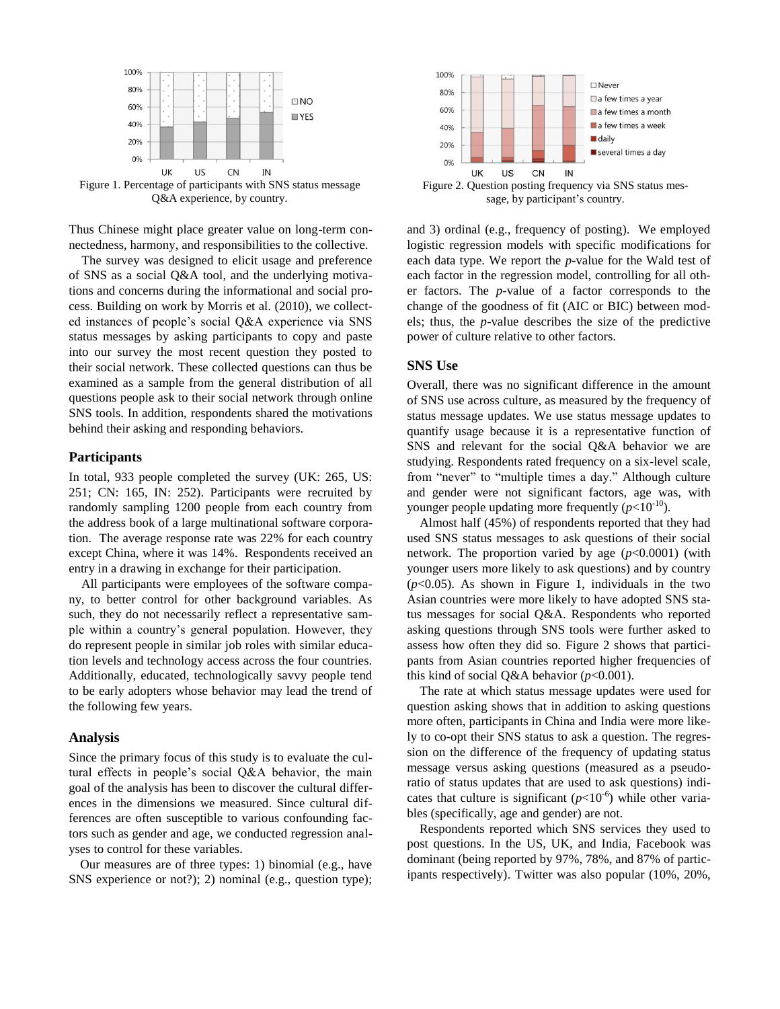

Figure 1. Percentage of participants with SNS status message Q&A experience, by country.

Thus Chinese might place greater value on long-term connectedness, harmony, and responsibilities to the collective.

The survey was designed to elicit usage and preference of SNS as a social Q&A tool, and the underlying motivations and concerns during the informational and social process. Building on work by Morris et al. (2010), we collected instances of people's social Q&A experience via SNS status messages by asking participants to copy and paste into our survey the most recent question they posted to their social network. These collected questions can thus be examined as a sample from the general distribution of all questions people ask to their social network through online SNS tools. In addition, respondents shared the motivations behind their asking and responding behaviors.

#### **Participants**

In total, 933 people completed the survey (UK: 265, US: 251; CN: 165, IN: 252). Participants were recruited by randomly sampling 1200 people from each country from the address book of a large multinational software corporation. The average response rate was 22% for each country except China, where it was 14%. Respondents received an entry in a drawing in exchange for their participation.

All participants were employees of the software company, to better control for other background variables. As such, they do not necessarily reflect a representative sample within a country's general population. However, they do represent people in similar job roles with similar education levels and technology access across the four countries. Additionally, educated, technologically savvy people tend to be early adopters whose behavior may lead the trend of the following few years.

#### **Analysis**

Since the primary focus of this study is to evaluate the cultural effects in people's social Q&A behavior, the main goal of the analysis has been to discover the cultural differences in the dimensions we measured. Since cultural differences are often susceptible to various confounding factors such as gender and age, we conducted regression analyses to control for these variables.

Our measures are of three types: 1) binomial (e.g., have SNS experience or not?); 2) nominal (e.g., question type);



sage, by participant's country.

and 3) ordinal (e.g., frequency of posting). We employed logistic regression models with specific modifications for each data type. We report the *p*-value for the Wald test of each factor in the regression model, controlling for all other factors. The *p*-value of a factor corresponds to the change of the goodness of fit (AIC or BIC) between models; thus, the *p*-value describes the size of the predictive power of culture relative to other factors.

# **SNS Use**

Overall, there was no significant difference in the amount of SNS use across culture, as measured by the frequency of status message updates. We use status message updates to quantify usage because it is a representative function of SNS and relevant for the social Q&A behavior we are studying. Respondents rated frequency on a six-level scale, from "never" to "multiple times a day." Although culture and gender were not significant factors, age was, with younger people updating more frequently  $(p<10^{-10})$ .

Almost half (45%) of respondents reported that they had used SNS status messages to ask questions of their social network. The proportion varied by age  $(p<0.0001)$  (with younger users more likely to ask questions) and by country  $(p<0.05)$ . As shown in Figure 1, individuals in the two Asian countries were more likely to have adopted SNS status messages for social Q&A. Respondents who reported asking questions through SNS tools were further asked to assess how often they did so. Figure 2 shows that participants from Asian countries reported higher frequencies of this kind of social Q&A behavior  $(p<0.001)$ .

The rate at which status message updates were used for question asking shows that in addition to asking questions more often, participants in China and India were more likely to co-opt their SNS status to ask a question. The regression on the difference of the frequency of updating status message versus asking questions (measured as a pseudoratio of status updates that are used to ask questions) indicates that culture is significant  $(p<10^{-6})$  while other variables (specifically, age and gender) are not.

Respondents reported which SNS services they used to post questions. In the US, UK, and India, Facebook was dominant (being reported by 97%, 78%, and 87% of participants respectively). Twitter was also popular (10%, 20%,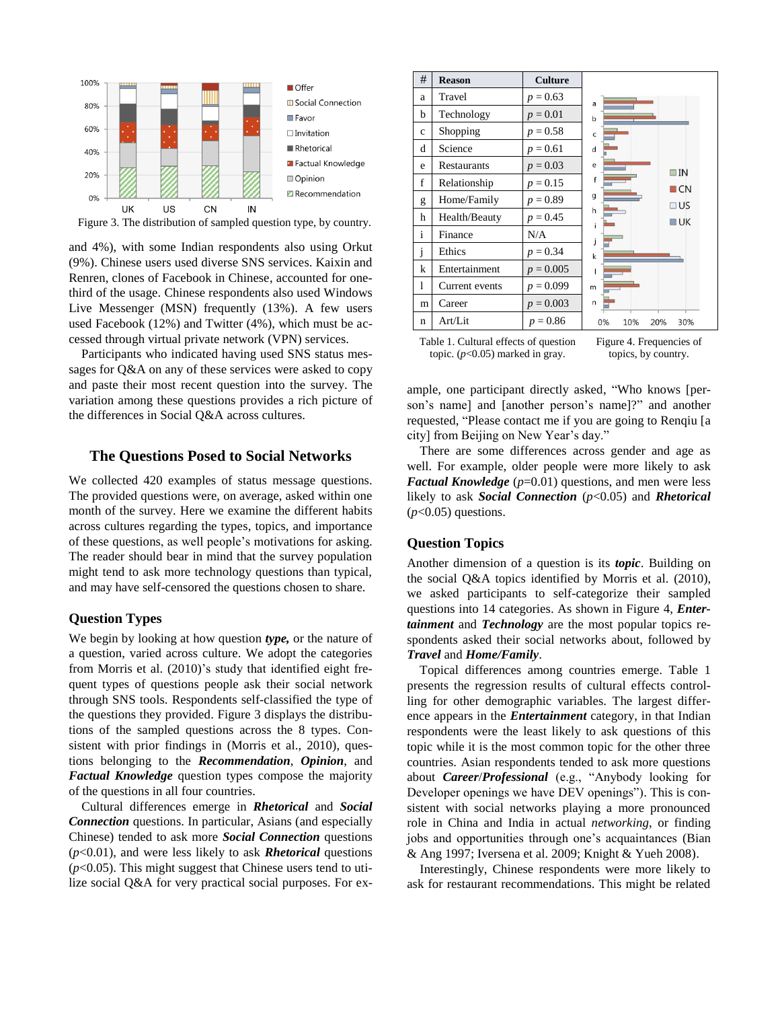

Figure 3. The distribution of sampled question type, by country.

and 4%), with some Indian respondents also using Orkut (9%). Chinese users used diverse SNS services. Kaixin and Renren, clones of Facebook in Chinese, accounted for onethird of the usage. Chinese respondents also used Windows Live Messenger (MSN) frequently (13%). A few users used Facebook (12%) and Twitter (4%), which must be accessed through virtual private network (VPN) services.

Participants who indicated having used SNS status messages for Q&A on any of these services were asked to copy and paste their most recent question into the survey. The variation among these questions provides a rich picture of the differences in Social Q&A across cultures.

## **The Questions Posed to Social Networks**

We collected 420 examples of status message questions. The provided questions were, on average, asked within one month of the survey. Here we examine the different habits across cultures regarding the types, topics, and importance of these questions, as well people's motivations for asking. The reader should bear in mind that the survey population might tend to ask more technology questions than typical, and may have self-censored the questions chosen to share.

#### **Question Types**

We begin by looking at how question *type,* or the nature of a question, varied across culture. We adopt the categories from Morris et al. (2010)'s study that identified eight frequent types of questions people ask their social network through SNS tools. Respondents self-classified the type of the questions they provided. Figure 3 displays the distributions of the sampled questions across the 8 types. Consistent with prior findings in (Morris et al., 2010), questions belonging to the *Recommendation*, *Opinion*, and *Factual Knowledge* question types compose the majority of the questions in all four countries.

Cultural differences emerge in *Rhetorical* and *Social Connection* questions. In particular, Asians (and especially Chinese) tended to ask more *Social Connection* questions (*p*<0.01), and were less likely to ask *Rhetorical* questions  $(p<0.05)$ . This might suggest that Chinese users tend to utilize social Q&A for very practical social purposes. For ex-

| #            | <b>Reason</b>  | <b>Culture</b> |                         |
|--------------|----------------|----------------|-------------------------|
| a            | Travel         | $p = 0.63$     | a                       |
| b            | Technology     | $p = 0.01$     | $\mathbf b$             |
| $\mathbf c$  | Shopping       | $p = 0.58$     | $\mathsf{C}$            |
| d            | Science        | $p = 0.61$     | $\mathsf{d}$            |
| e            | Restaurants    | $p = 0.03$     | e<br>$\Box$ IN          |
| f            | Relationship   | $p = 0.15$     | f<br>$\Box$ CN          |
| g            | Home/Family    | $p = 0.89$     | g<br>U S                |
| h            | Health/Beauty  | $p = 0.45$     | h<br>$U$ UK<br>i        |
| $\mathbf{i}$ | Finance        | N/A            | j                       |
| j            | Ethics         | $p = 0.34$     | $\mathsf k$             |
| k            | Entertainment  | $p = 0.005$    |                         |
| 1            | Current events | $p = 0.099$    | m                       |
| m            | Career         | $p = 0.003$    | n                       |
| n            | Art/Lit        | $p = 0.86$     | 10%<br>20%<br>0%<br>30% |

Table 1. Cultural effects of question topic. (*p*<0.05) marked in gray.

Figure 4. Frequencies of topics, by country.

ample, one participant directly asked, "Who knows [person's name] and [another person's name]?" and another requested, "Please contact me if you are going to Renqiu [a city] from Beijing on New Year's day."

There are some differences across gender and age as well. For example, older people were more likely to ask *Factual Knowledge* ( $p=0.01$ ) questions, and men were less likely to ask *Social Connection* (*p*<0.05) and *Rhetorical*  (*p*<0.05) questions.

## **Question Topics**

Another dimension of a question is its *topic*. Building on the social Q&A topics identified by Morris et al. (2010), we asked participants to self-categorize their sampled questions into 14 categories. As shown in Figure 4, *Entertainment* and *Technology* are the most popular topics respondents asked their social networks about, followed by *Travel* and *Home/Family*.

Topical differences among countries emerge. Table 1 presents the regression results of cultural effects controlling for other demographic variables. The largest difference appears in the *Entertainment* category, in that Indian respondents were the least likely to ask questions of this topic while it is the most common topic for the other three countries. Asian respondents tended to ask more questions about *Career*/*Professional* (e.g., "Anybody looking for Developer openings we have DEV openings"). This is consistent with social networks playing a more pronounced role in China and India in actual *networking*, or finding jobs and opportunities through one's acquaintances (Bian & Ang 1997; Iversena et al. 2009; Knight & Yueh 2008).

Interestingly, Chinese respondents were more likely to ask for restaurant recommendations. This might be related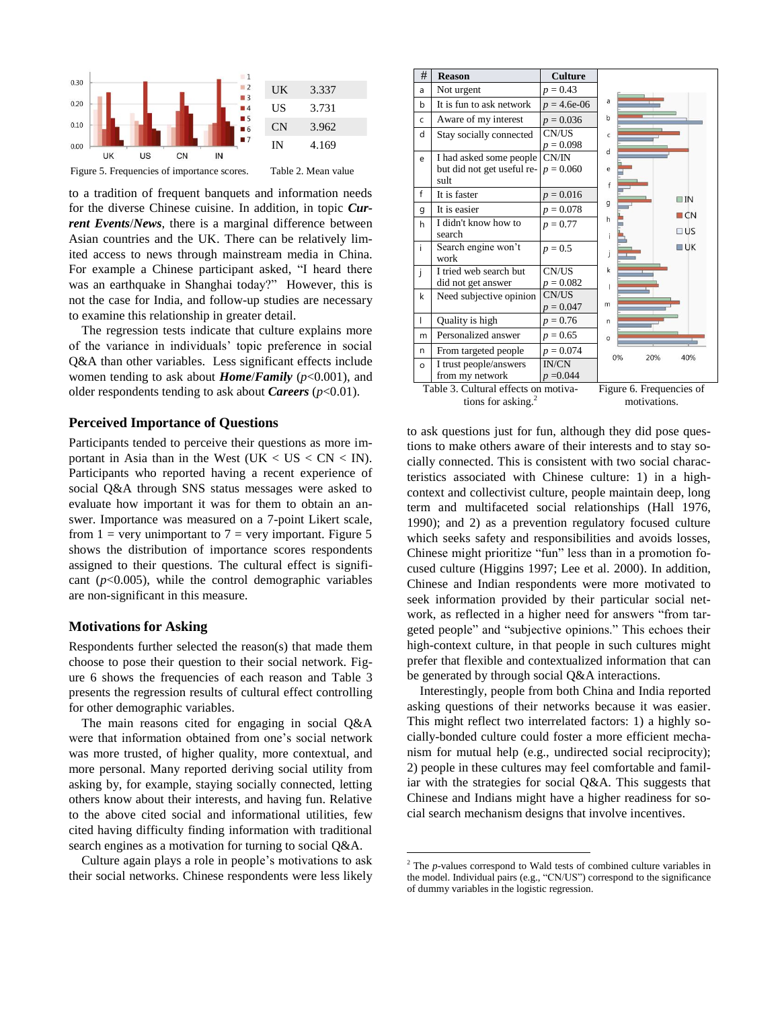



to a tradition of frequent banquets and information needs for the diverse Chinese cuisine. In addition, in topic *Current Events*/*News*, there is a marginal difference between Asian countries and the UK. There can be relatively limited access to news through mainstream media in China. For example a Chinese participant asked, "I heard there was an earthquake in Shanghai today?" However, this is not the case for India, and follow-up studies are necessary to examine this relationship in greater detail.

The regression tests indicate that culture explains more of the variance in individuals' topic preference in social Q&A than other variables. Less significant effects include women tending to ask about *Home*/*Family* (*p*<0.001), and older respondents tending to ask about *Careers*  $(p<0.01)$ .

#### **Perceived Importance of Questions**

Participants tended to perceive their questions as more important in Asia than in the West (UK  $\lt$  US  $\lt$  CN  $\lt$  IN). Participants who reported having a recent experience of social Q&A through SNS status messages were asked to evaluate how important it was for them to obtain an answer. Importance was measured on a 7-point Likert scale, from  $1 =$  very unimportant to  $7 =$  very important. Figure 5 shows the distribution of importance scores respondents assigned to their questions. The cultural effect is significant  $(p<0.005)$ , while the control demographic variables are non-significant in this measure.

#### **Motivations for Asking**

Respondents further selected the reason(s) that made them choose to pose their question to their social network. Figure 6 shows the frequencies of each reason and Table 3 presents the regression results of cultural effect controlling for other demographic variables.

The main reasons cited for engaging in social Q&A were that information obtained from one's social network was more trusted, of higher quality, more contextual, and more personal. Many reported deriving social utility from asking by, for example, staying socially connected, letting others know about their interests, and having fun. Relative to the above cited social and informational utilities, few cited having difficulty finding information with traditional search engines as a motivation for turning to social Q&A.

Culture again plays a role in people's motivations to ask their social networks. Chinese respondents were less likely



tions for asking. $\frac{2}{3}$ motivations.

to ask questions just for fun, although they did pose questions to make others aware of their interests and to stay socially connected. This is consistent with two social characteristics associated with Chinese culture: 1) in a highcontext and collectivist culture, people maintain deep, long term and multifaceted social relationships (Hall 1976, 1990); and 2) as a prevention regulatory focused culture which seeks safety and responsibilities and avoids losses, Chinese might prioritize "fun" less than in a promotion focused culture (Higgins 1997; Lee et al. 2000). In addition, Chinese and Indian respondents were more motivated to seek information provided by their particular social network, as reflected in a higher need for answers "from targeted people" and "subjective opinions." This echoes their high-context culture, in that people in such cultures might prefer that flexible and contextualized information that can be generated by through social Q&A interactions.

Interestingly, people from both China and India reported asking questions of their networks because it was easier. This might reflect two interrelated factors: 1) a highly socially-bonded culture could foster a more efficient mechanism for mutual help (e.g., undirected social reciprocity); 2) people in these cultures may feel comfortable and familiar with the strategies for social Q&A. This suggests that Chinese and Indians might have a higher readiness for social search mechanism designs that involve incentives.

 $\overline{a}$ 

<sup>&</sup>lt;sup>2</sup> The *p*-values correspond to Wald tests of combined culture variables in the model. Individual pairs (e.g., "CN/US") correspond to the significance of dummy variables in the logistic regression.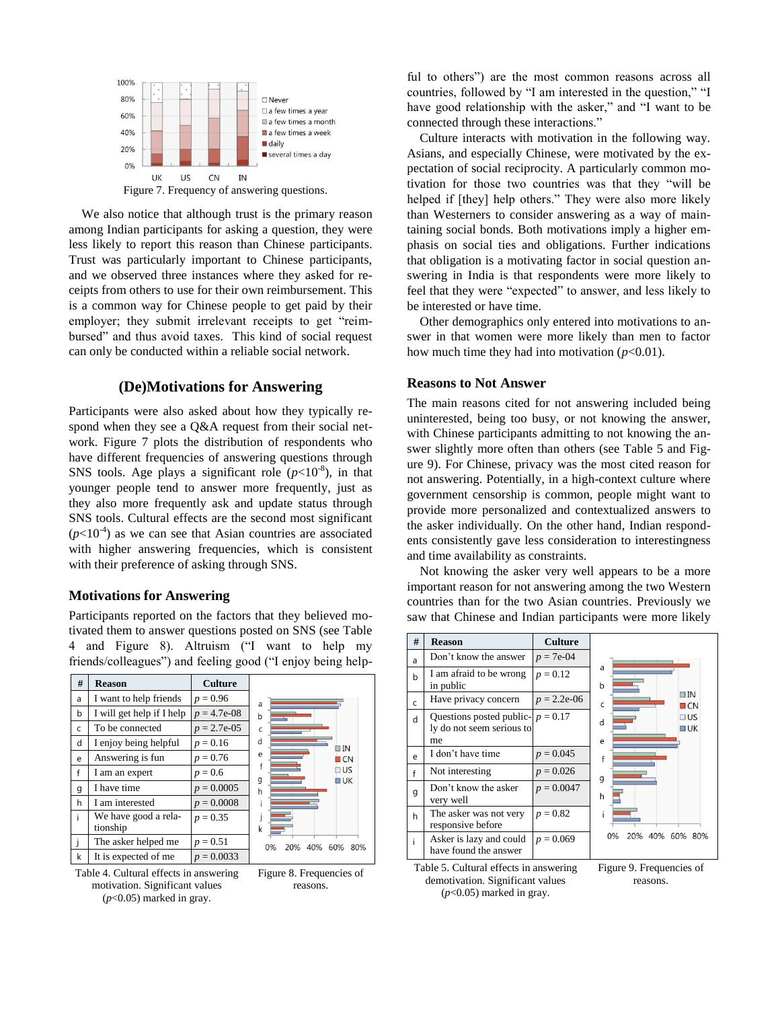

We also notice that although trust is the primary reason among Indian participants for asking a question, they were less likely to report this reason than Chinese participants. Trust was particularly important to Chinese participants, and we observed three instances where they asked for receipts from others to use for their own reimbursement. This is a common way for Chinese people to get paid by their employer; they submit irrelevant receipts to get "reimbursed" and thus avoid taxes. This kind of social request can only be conducted within a reliable social network.

## **(De)Motivations for Answering**

Participants were also asked about how they typically respond when they see a Q&A request from their social network. Figure 7 plots the distribution of respondents who have different frequencies of answering questions through SNS tools. Age plays a significant role  $(p<10^{-8})$ , in that younger people tend to answer more frequently, just as they also more frequently ask and update status through SNS tools. Cultural effects are the second most significant  $(p<10<sup>-4</sup>)$  as we can see that Asian countries are associated with higher answering frequencies, which is consistent with their preference of asking through SNS.

## **Motivations for Answering**

Participants reported on the factors that they believed motivated them to answer questions posted on SNS (see Table 4 and Figure 8). Altruism ("I want to help my friends/colleagues") and feeling good ("I enjoy being help-

| # | <b>Reason</b>                    | <b>Culture</b> |                                |
|---|----------------------------------|----------------|--------------------------------|
| a | I want to help friends           | $p = 0.96$     | a                              |
| b | I will get help if I help        | $p = 4.7e-08$  | b                              |
| C | To be connected                  | $p = 2.7e-0.5$ | C                              |
| d | I enjoy being helpful            | $p = 0.16$     | d<br>$\Box$ IN                 |
| e | Answering is fun                 | $p = 0.76$     | e<br>ICN                       |
| f | I am an expert                   | $p = 0.6$      | I US<br>g<br><b>JUK</b>        |
| g | I have time                      | $p = 0.0005$   | $\mathsf{h}$                   |
| h | I am interested                  | $p = 0.0008$   | 1                              |
| i | We have good a rela-<br>tionship | $p = 0.35$     | $\mathbf k$                    |
|   | The asker helped me              | $p = 0.51$     | 80%<br>0%<br>60%<br>20%<br>40% |
| k | It is expected of me             | $p = 0.0033$   |                                |





ful to others") are the most common reasons across all countries, followed by "I am interested in the question," "I have good relationship with the asker," and "I want to be connected through these interactions."

Culture interacts with motivation in the following way. Asians, and especially Chinese, were motivated by the expectation of social reciprocity. A particularly common motivation for those two countries was that they "will be helped if [they] help others." They were also more likely than Westerners to consider answering as a way of maintaining social bonds. Both motivations imply a higher emphasis on social ties and obligations. Further indications that obligation is a motivating factor in social question answering in India is that respondents were more likely to feel that they were "expected" to answer, and less likely to be interested or have time.

Other demographics only entered into motivations to answer in that women were more likely than men to factor how much time they had into motivation  $(p<0.01)$ .

#### **Reasons to Not Answer**

The main reasons cited for not answering included being uninterested, being too busy, or not knowing the answer, with Chinese participants admitting to not knowing the answer slightly more often than others (see Table 5 and Figure 9). For Chinese, privacy was the most cited reason for not answering. Potentially, in a high-context culture where government censorship is common, people might want to provide more personalized and contextualized answers to the asker individually. On the other hand, Indian respondents consistently gave less consideration to interestingness and time availability as constraints.

Not knowing the asker very well appears to be a more important reason for not answering among the two Western countries than for the two Asian countries. Previously we saw that Chinese and Indian participants were more likely

| #            | <b>Reason</b>                                                          | <b>Culture</b> |                                        |
|--------------|------------------------------------------------------------------------|----------------|----------------------------------------|
| a            | Don't know the answer                                                  | $p = 7e-04$    |                                        |
| $\mathsf{h}$ | I am afraid to be wrong<br>in public                                   | $p = 0.12$     | a<br>$\mathbf b$                       |
| $\mathsf{C}$ | Have privacy concern                                                   | $p = 2.2e-06$  | $\Box$ IN<br>$\mathsf{C}$<br>$\Box$ CN |
| d            | Questions posted public- $p = 0.17$<br>ly do not seem serious to<br>me |                | $\Box$ US<br>d<br><b>UK</b><br>e       |
| e            | I don't have time                                                      | $p = 0.045$    |                                        |
| $\mathsf{f}$ | Not interesting                                                        | $p = 0.026$    | g                                      |
| g            | Don't know the asker<br>very well                                      | $p = 0.0047$   | h                                      |
| h            | The asker was not very<br>responsive before                            | $p = 0.82$     | i.                                     |
| i            | Asker is lazy and could<br>have found the answer                       | $p = 0.069$    | 0%<br>20% 40% 60% 80%                  |
|              | -----------                                                            |                |                                        |

Table 5. Cultural effects in answering demotivation. Significant values (*p*<0.05) marked in gray.

Figure 9. Frequencies of reasons.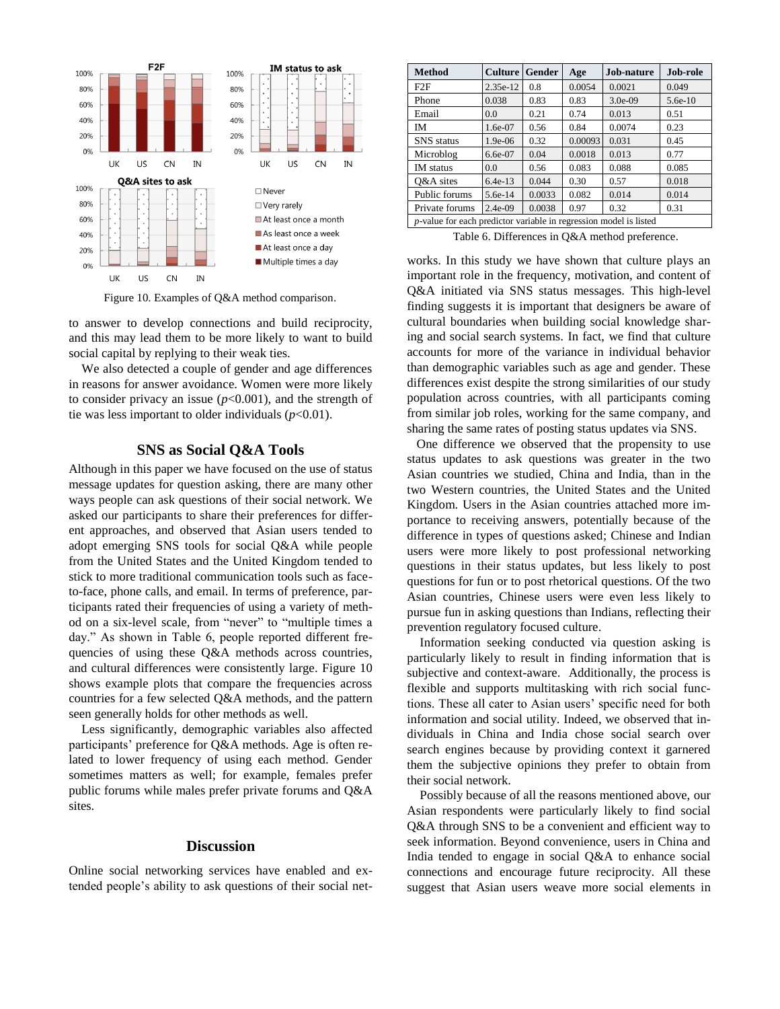

Figure 10. Examples of Q&A method comparison.

to answer to develop connections and build reciprocity, and this may lead them to be more likely to want to build social capital by replying to their weak ties.

We also detected a couple of gender and age differences in reasons for answer avoidance. Women were more likely to consider privacy an issue  $(p<0.001)$ , and the strength of tie was less important to older individuals  $(p<0.01)$ .

## **SNS as Social Q&A Tools**

Although in this paper we have focused on the use of status message updates for question asking, there are many other ways people can ask questions of their social network. We asked our participants to share their preferences for different approaches, and observed that Asian users tended to adopt emerging SNS tools for social Q&A while people from the United States and the United Kingdom tended to stick to more traditional communication tools such as faceto-face, phone calls, and email. In terms of preference, participants rated their frequencies of using a variety of method on a six-level scale, from "never" to "multiple times a day." As shown in Table 6, people reported different frequencies of using these Q&A methods across countries, and cultural differences were consistently large. Figure 10 shows example plots that compare the frequencies across countries for a few selected Q&A methods, and the pattern seen generally holds for other methods as well.

Less significantly, demographic variables also affected participants' preference for Q&A methods. Age is often related to lower frequency of using each method. Gender sometimes matters as well; for example, females prefer public forums while males prefer private forums and Q&A sites.

## **Discussion**

Online social networking services have enabled and extended people's ability to ask questions of their social net-

| <b>Method</b>                                                     | <b>Culture</b> | Gender | Age     | Job-nature | Job-role  |  |  |
|-------------------------------------------------------------------|----------------|--------|---------|------------|-----------|--|--|
| F2F                                                               | 2.35e-12       | 0.8    | 0.0054  | 0.0021     | 0.049     |  |  |
| Phone                                                             | 0.038          | 0.83   | 0.83    | $3.0e-09$  | $5.6e-10$ |  |  |
| Email                                                             | 0.0            | 0.21   | 0.74    | 0.013      | 0.51      |  |  |
| <b>IM</b>                                                         | $1.6e-07$      | 0.56   | 0.84    | 0.0074     | 0.23      |  |  |
| <b>SNS</b> status                                                 | $1.9e-06$      | 0.32   | 0.00093 | 0.031      | 0.45      |  |  |
| Microblog                                                         | $6.6e-07$      | 0.04   | 0.0018  | 0.013      | 0.77      |  |  |
| <b>IM</b> status                                                  | 0.0            | 0.56   | 0.083   | 0.088      | 0.085     |  |  |
| O&A sites                                                         | $6.4e-13$      | 0.044  | 0.30    | 0.57       | 0.018     |  |  |
| Public forums                                                     | $5.6e-14$      | 0.0033 | 0.082   | 0.014      | 0.014     |  |  |
| Private forums                                                    | $2.4e-09$      | 0.0038 | 0.97    | 0.32       | 0.31      |  |  |
| p-value for each predictor variable in regression model is listed |                |        |         |            |           |  |  |

Table 6. Differences in Q&A method preference.

works. In this study we have shown that culture plays an important role in the frequency, motivation, and content of Q&A initiated via SNS status messages. This high-level finding suggests it is important that designers be aware of cultural boundaries when building social knowledge sharing and social search systems. In fact, we find that culture accounts for more of the variance in individual behavior than demographic variables such as age and gender. These differences exist despite the strong similarities of our study population across countries, with all participants coming from similar job roles, working for the same company, and sharing the same rates of posting status updates via SNS.

 One difference we observed that the propensity to use status updates to ask questions was greater in the two Asian countries we studied, China and India, than in the two Western countries, the United States and the United Kingdom. Users in the Asian countries attached more importance to receiving answers, potentially because of the difference in types of questions asked; Chinese and Indian users were more likely to post professional networking questions in their status updates, but less likely to post questions for fun or to post rhetorical questions. Of the two Asian countries, Chinese users were even less likely to pursue fun in asking questions than Indians, reflecting their prevention regulatory focused culture.

Information seeking conducted via question asking is particularly likely to result in finding information that is subjective and context-aware. Additionally, the process is flexible and supports multitasking with rich social functions. These all cater to Asian users' specific need for both information and social utility. Indeed, we observed that individuals in China and India chose social search over search engines because by providing context it garnered them the subjective opinions they prefer to obtain from their social network.

Possibly because of all the reasons mentioned above, our Asian respondents were particularly likely to find social Q&A through SNS to be a convenient and efficient way to seek information. Beyond convenience, users in China and India tended to engage in social Q&A to enhance social connections and encourage future reciprocity. All these suggest that Asian users weave more social elements in